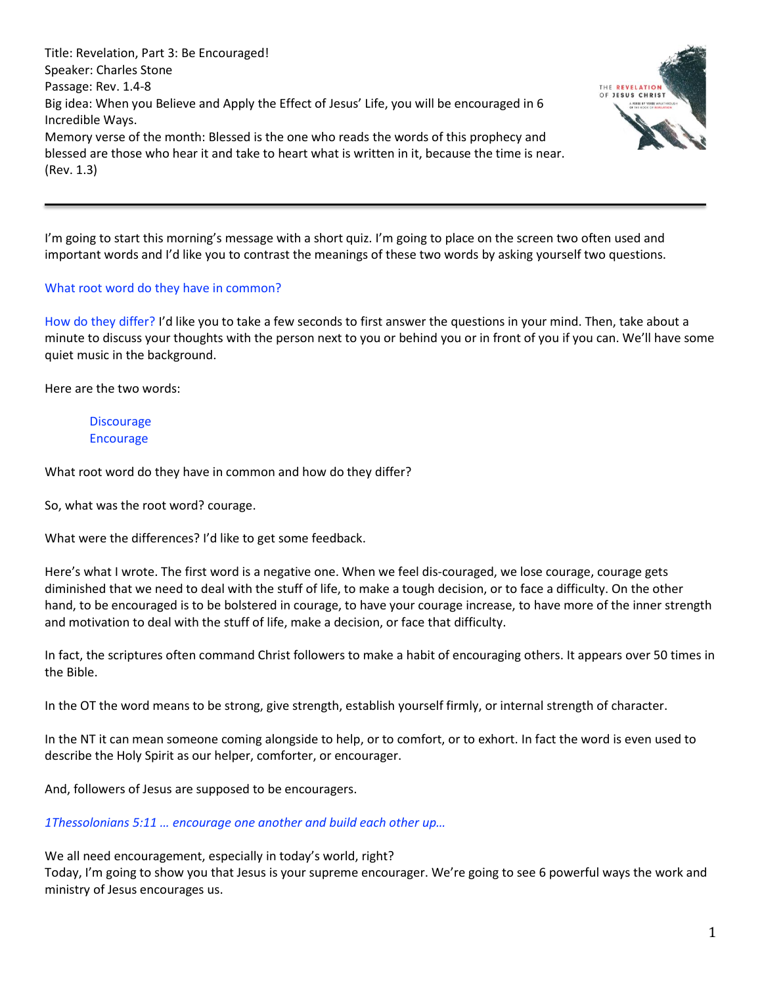Title: Revelation, Part 3: Be Encouraged! Speaker: Charles Stone Passage: Rev. 1.4-8 Big idea: When you Believe and Apply the Effect of Jesus' Life, you will be encouraged in 6 Incredible Ways. Memory verse of the month: Blessed is the one who reads the words of this prophecy and blessed are those who hear it and take to heart what is written in it, because the time is near. (Rev. 1.3)



I'm going to start this morning's message with a short quiz. I'm going to place on the screen two often used and important words and I'd like you to contrast the meanings of these two words by asking yourself two questions.

### What root word do they have in common?

How do they differ? I'd like you to take a few seconds to first answer the questions in your mind. Then, take about a minute to discuss your thoughts with the person next to you or behind you or in front of you if you can. We'll have some quiet music in the background.

Here are the two words:

**Discourage** Encourage

What root word do they have in common and how do they differ?

So, what was the root word? courage.

What were the differences? I'd like to get some feedback.

Here's what I wrote. The first word is a negative one. When we feel dis-couraged, we lose courage, courage gets diminished that we need to deal with the stuff of life, to make a tough decision, or to face a difficulty. On the other hand, to be encouraged is to be bolstered in courage, to have your courage increase, to have more of the inner strength and motivation to deal with the stuff of life, make a decision, or face that difficulty.

In fact, the scriptures often command Christ followers to make a habit of encouraging others. It appears over 50 times in the Bible.

In the OT the word means to be strong, give strength, establish yourself firmly, or internal strength of character.

In the NT it can mean someone coming alongside to help, or to comfort, or to exhort. In fact the word is even used to describe the Holy Spirit as our helper, comforter, or encourager.

And, followers of Jesus are supposed to be encouragers.

*1Thessolonians 5:11 … encourage one another and build each other up…*

We all need encouragement, especially in today's world, right?

Today, I'm going to show you that Jesus is your supreme encourager. We're going to see 6 powerful ways the work and ministry of Jesus encourages us.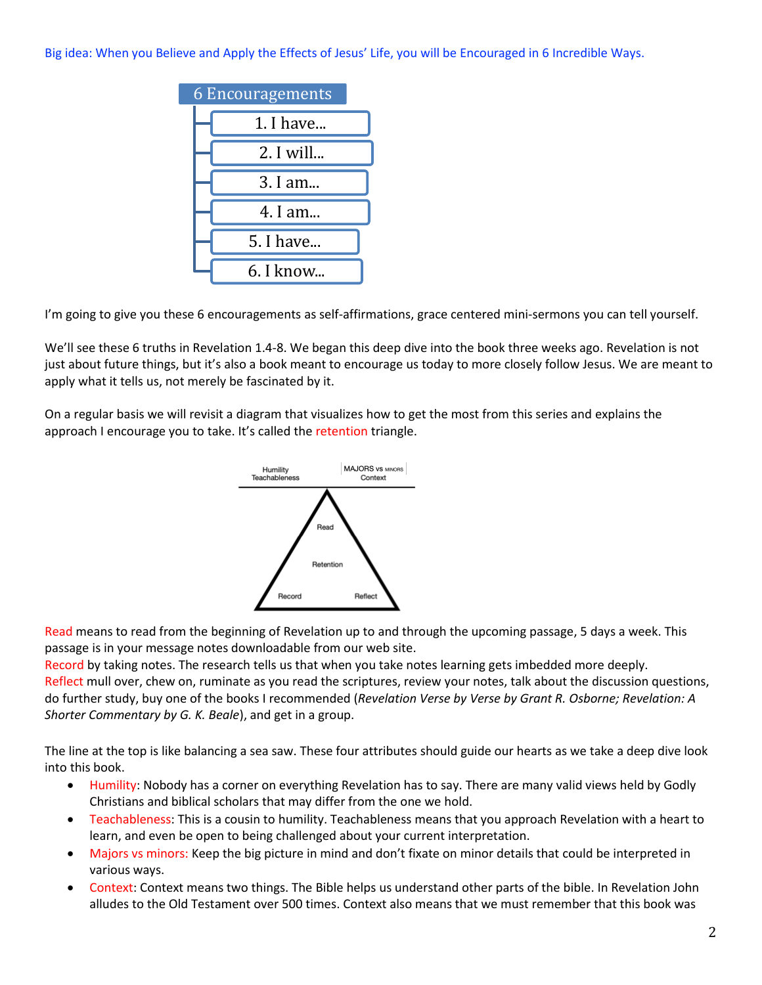Big idea: When you Believe and Apply the Effects of Jesus' Life, you will be Encouraged in 6 Incredible Ways.



I'm going to give you these 6 encouragements as self-affirmations, grace centered mini-sermons you can tell yourself.

We'll see these 6 truths in Revelation 1.4-8. We began this deep dive into the book three weeks ago. Revelation is not just about future things, but it's also a book meant to encourage us today to more closely follow Jesus. We are meant to apply what it tells us, not merely be fascinated by it.

On a regular basis we will revisit a diagram that visualizes how to get the most from this series and explains the approach I encourage you to take. It's called the retention triangle.



Read means to read from the beginning of Revelation up to and through the upcoming passage, 5 days a week. This passage is in your message notes downloadable from our web site.

Record by taking notes. The research tells us that when you take notes learning gets imbedded more deeply. Reflect mull over, chew on, ruminate as you read the scriptures, review your notes, talk about the discussion questions, do further study, buy one of the books I recommended (*Revelation Verse by Verse by Grant R. Osborne; Revelation: A Shorter Commentary by G. K. Beale*), and get in a group.

The line at the top is like balancing a sea saw. These four attributes should guide our hearts as we take a deep dive look into this book.

- Humility: Nobody has a corner on everything Revelation has to say. There are many valid views held by Godly Christians and biblical scholars that may differ from the one we hold.
- Teachableness: This is a cousin to humility. Teachableness means that you approach Revelation with a heart to learn, and even be open to being challenged about your current interpretation.
- Majors vs minors: Keep the big picture in mind and don't fixate on minor details that could be interpreted in various ways.
- Context: Context means two things. The Bible helps us understand other parts of the bible. In Revelation John alludes to the Old Testament over 500 times. Context also means that we must remember that this book was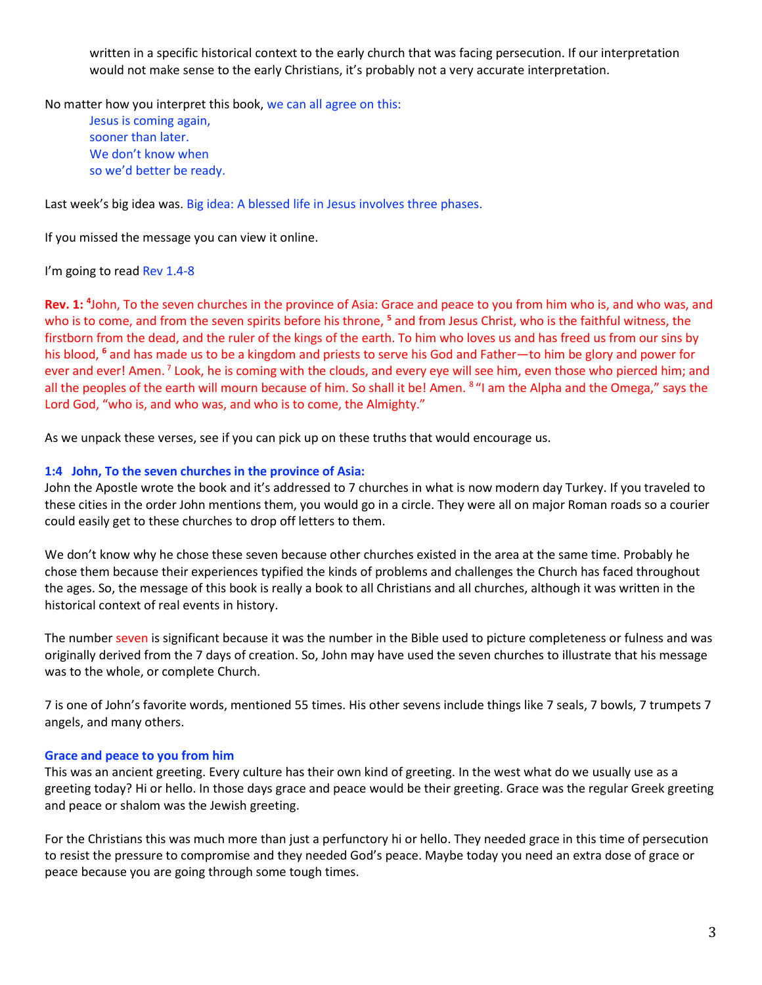written in a specific historical context to the early church that was facing persecution. If our interpretation would not make sense to the early Christians, it's probably not a very accurate interpretation.

No matter how you interpret this book, we can all agree on this:

Jesus is coming again, sooner than later. We don't know when so we'd better be ready.

Last week's big idea was. Big idea: A blessed life in Jesus involves three phases.

If you missed the message you can view it online.

### I'm going to read Rev 1.4-8

**Rev. 1: <sup>4</sup>** John, To the seven churches in the province of Asia: Grace and peace to you from him who is, and who was, and who is to come, and from the seven spirits before his throne, **<sup>5</sup>** and from Jesus Christ, who is the faithful witness, the firstborn from the dead, and the ruler of the kings of the earth. To him who loves us and has freed us from our sins by his blood, **<sup>6</sup>** and has made us to be a kingdom and priests to serve his God and Father—to him be glory and power for ever and ever! Amen. <sup>7</sup> Look, he is coming with the clouds, and every eye will see him, even those who pierced him; and all the peoples of the earth will mourn because of him. So shall it be! Amen. <sup>8</sup> "I am the Alpha and the Omega," says the Lord God, "who is, and who was, and who is to come, the Almighty."

As we unpack these verses, see if you can pick up on these truths that would encourage us.

### **1:4 John, To the seven churches in the province of Asia:**

John the Apostle wrote the book and it's addressed to 7 churches in what is now modern day Turkey. If you traveled to these cities in the order John mentions them, you would go in a circle. They were all on major Roman roads so a courier could easily get to these churches to drop off letters to them.

We don't know why he chose these seven because other churches existed in the area at the same time. Probably he chose them because their experiences typified the kinds of problems and challenges the Church has faced throughout the ages. So, the message of this book is really a book to all Christians and all churches, although it was written in the historical context of real events in history.

The number seven is significant because it was the number in the Bible used to picture completeness or fulness and was originally derived from the 7 days of creation. So, John may have used the seven churches to illustrate that his message was to the whole, or complete Church.

7 is one of John's favorite words, mentioned 55 times. His other sevens include things like 7 seals, 7 bowls, 7 trumpets 7 angels, and many others.

### **Grace and peace to you from him**

This was an ancient greeting. Every culture has their own kind of greeting. In the west what do we usually use as a greeting today? Hi or hello. In those days grace and peace would be their greeting. Grace was the regular Greek greeting and peace or shalom was the Jewish greeting.

For the Christians this was much more than just a perfunctory hi or hello. They needed grace in this time of persecution to resist the pressure to compromise and they needed God's peace. Maybe today you need an extra dose of grace or peace because you are going through some tough times.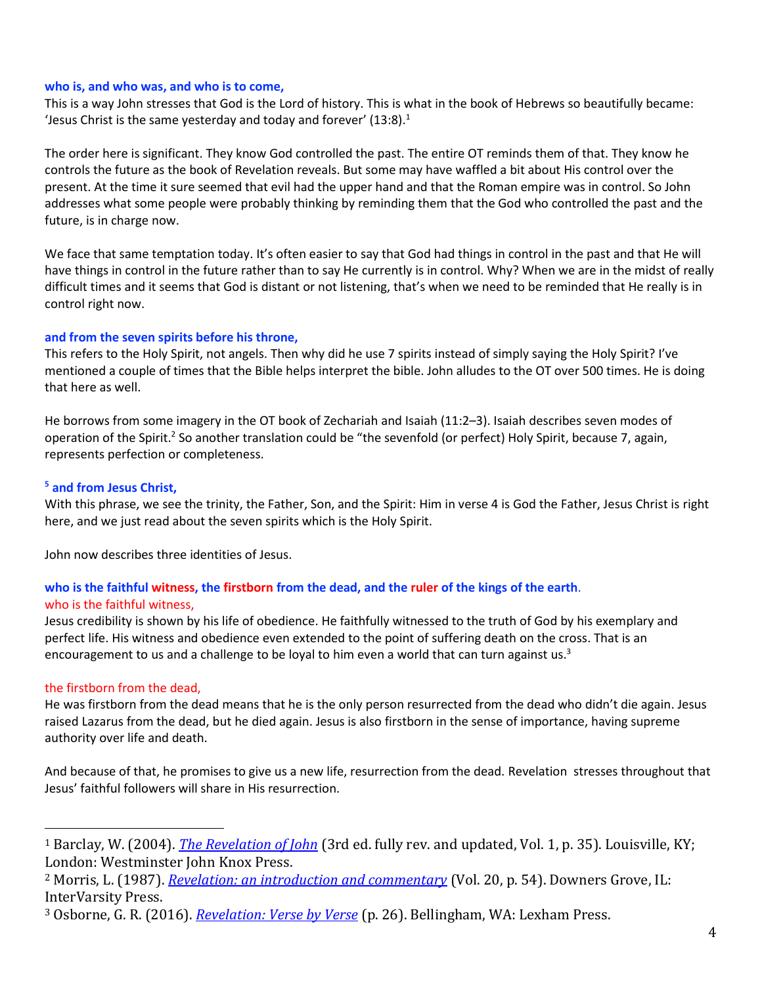### **who is, and who was, and who is to come,**

This is a way John stresses that God is the Lord of history. This is what in the book of Hebrews so beautifully became: 'Jesus Christ is the same yesterday and today and forever'  $(13:8).$ <sup>1</sup>

The order here is significant. They know God controlled the past. The entire OT reminds them of that. They know he controls the future as the book of Revelation reveals. But some may have waffled a bit about His control over the present. At the time it sure seemed that evil had the upper hand and that the Roman empire was in control. So John addresses what some people were probably thinking by reminding them that the God who controlled the past and the future, is in charge now.

We face that same temptation today. It's often easier to say that God had things in control in the past and that He will have things in control in the future rather than to say He currently is in control. Why? When we are in the midst of really difficult times and it seems that God is distant or not listening, that's when we need to be reminded that He really is in control right now.

### **and from the seven spirits before his throne,**

This refers to the Holy Spirit, not angels. Then why did he use 7 spirits instead of simply saying the Holy Spirit? I've mentioned a couple of times that the Bible helps interpret the bible. John alludes to the OT over 500 times. He is doing that here as well.

He borrows from some imagery in the OT book of Zechariah and Isaiah (11:2–3). Isaiah describes seven modes of operation of the Spirit.<sup>2</sup> So another translation could be "the sevenfold (or perfect) Holy Spirit, because 7, again, represents perfection or completeness.

### **<sup>5</sup> and from Jesus Christ,**

With this phrase, we see the trinity, the Father, Son, and the Spirit: Him in verse 4 is God the Father, Jesus Christ is right here, and we just read about the seven spirits which is the Holy Spirit.

John now describes three identities of Jesus.

# **who is the faithful witness, the firstborn from the dead, and the ruler of the kings of the earth**. who is the faithful witness,

Jesus credibility is shown by his life of obedience. He faithfully witnessed to the truth of God by his exemplary and perfect life. His witness and obedience even extended to the point of suffering death on the cross. That is an encouragement to us and a challenge to be loyal to him even a world that can turn against us.<sup>3</sup>

### the firstborn from the dead,

He was firstborn from the dead means that he is the only person resurrected from the dead who didn't die again. Jesus raised Lazarus from the dead, but he died again. Jesus is also firstborn in the sense of importance, having supreme authority over life and death.

And because of that, he promises to give us a new life, resurrection from the dead. Revelation stresses throughout that Jesus' faithful followers will share in His resurrection.

<sup>1</sup> Barclay, W. (2004). *[The Revelation of John](https://ref.ly/logosres/ndsb87rev01?ref=Bible.Re1.4-6&off=4317&ctx=s+all+things+come.%E2%80%99+~This+is+what+in+Hebr)* (3rd ed. fully rev. and updated, Vol. 1, p. 35). Louisville, KY; London: Westminster John Knox Press.

<sup>2</sup> Morris, L. (1987). *[Revelation: an introduction and commentary](https://ref.ly/logosres/tntc87reus?ref=Bible.Re1.4&off=1942&ctx=to+the+Holy+Spirit.+~The+number+may+deriv)* (Vol. 20, p. 54). Downers Grove, IL: InterVarsity Press.

<sup>3</sup> Osborne, G. R. (2016). *[Revelation: Verse by Verse](https://ref.ly/logosres/vbv87rev?ref=Bible.Re1.5-6&off=488&ctx=+tied+to+martyrdom.+~Jesus%E2%80%99+witness+(also)* (p. 26). Bellingham, WA: Lexham Press.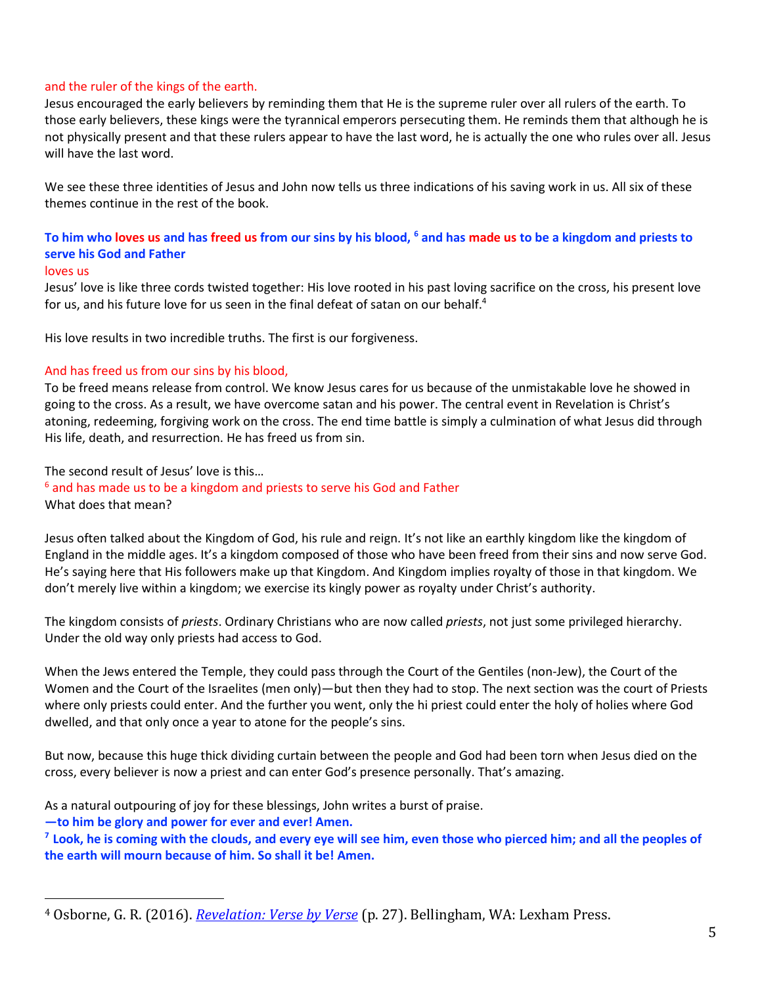### and the ruler of the kings of the earth.

Jesus encouraged the early believers by reminding them that He is the supreme ruler over all rulers of the earth. To those early believers, these kings were the tyrannical emperors persecuting them. He reminds them that although he is not physically present and that these rulers appear to have the last word, he is actually the one who rules over all. Jesus will have the last word.

We see these three identities of Jesus and John now tells us three indications of his saving work in us. All six of these themes continue in the rest of the book.

# **To him who loves us and has freed us from our sins by his blood, <sup>6</sup> and has made us to be a kingdom and priests to serve his God and Father**

#### loves us

Jesus' love is like three cords twisted together: His love rooted in his past loving sacrifice on the cross, his present love for us, and his future love for us seen in the final defeat of satan on our behalf.<sup>4</sup>

His love results in two incredible truths. The first is our forgiveness.

### And has freed us from our sins by his blood,

To be freed means release from control. We know Jesus cares for us because of the unmistakable love he showed in going to the cross. As a result, we have overcome satan and his power. The central event in Revelation is Christ's atoning, redeeming, forgiving work on the cross. The end time battle is simply a culmination of what Jesus did through His life, death, and resurrection. He has freed us from sin.

The second result of Jesus' love is this…

 $6$  and has made us to be a kingdom and priests to serve his God and Father What does that mean?

Jesus often talked about the Kingdom of God, his rule and reign. It's not like an earthly kingdom like the kingdom of England in the middle ages. It's a kingdom composed of those who have been freed from their sins and now serve God. He's saying here that His followers make up that Kingdom. And Kingdom implies royalty of those in that kingdom. We don't merely live within a kingdom; we exercise its kingly power as royalty under Christ's authority.

The kingdom consists of *priests*. Ordinary Christians who are now called *priests*, not just some privileged hierarchy. Under the old way only priests had access to God.

When the Jews entered the Temple, they could pass through the Court of the Gentiles (non-Jew), the Court of the Women and the Court of the Israelites (men only)—but then they had to stop. The next section was the court of Priests where only priests could enter. And the further you went, only the hi priest could enter the holy of holies where God dwelled, and that only once a year to atone for the people's sins.

But now, because this huge thick dividing curtain between the people and God had been torn when Jesus died on the cross, every believer is now a priest and can enter God's presence personally. That's amazing.

As a natural outpouring of joy for these blessings, John writes a burst of praise.

**—to him be glory and power for ever and ever! Amen.**

**<sup>7</sup>Look, he is coming with the clouds, and every eye will see him, even those who pierced him; and all the peoples of the earth will mourn because of him. So shall it be! Amen.**

<sup>4</sup> Osborne, G. R. (2016). *[Revelation: Verse by Verse](https://ref.ly/logosres/vbv87rev?ref=Bible.Re1.5-6&off=2890&ctx=ve.+This+emphasizes+~his+ongoing+love+roo)* (p. 27). Bellingham, WA: Lexham Press.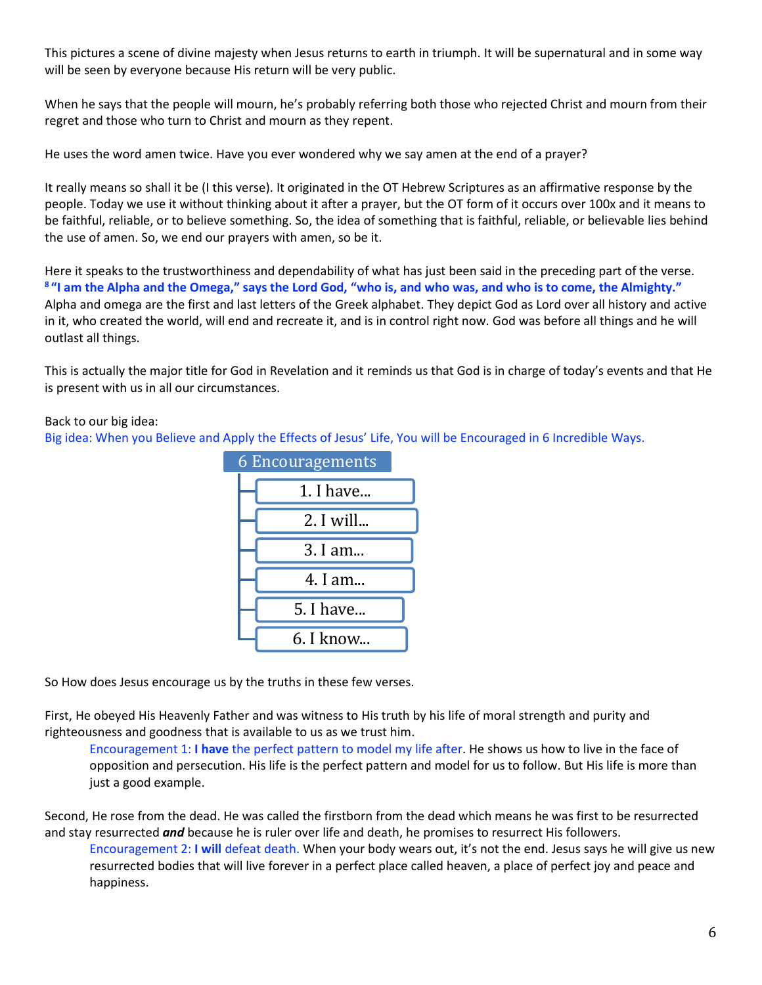This pictures a scene of divine majesty when Jesus returns to earth in triumph. It will be supernatural and in some way will be seen by everyone because His return will be very public.

When he says that the people will mourn, he's probably referring both those who rejected Christ and mourn from their regret and those who turn to Christ and mourn as they repent.

He uses the word amen twice. Have you ever wondered why we say amen at the end of a prayer?

It really means so shall it be (I this verse). It originated in the OT Hebrew Scriptures as an affirmative response by the people. Today we use it without thinking about it after a prayer, but the OT form of it occurs over 100x and it means to be faithful, reliable, or to believe something. So, the idea of something that is faithful, reliable, or believable lies behind the use of amen. So, we end our prayers with amen, so be it.

Here it speaks to the trustworthiness and dependability of what has just been said in the preceding part of the verse. **<sup>8</sup>"I am the Alpha and the Omega," says the Lord God, "who is, and who was, and who is to come, the Almighty."** Alpha and omega are the first and last letters of the Greek alphabet. They depict God as Lord over all history and active in it, who created the world, will end and recreate it, and is in control right now. God was before all things and he will outlast all things.

This is actually the major title for God in Revelation and it reminds us that God is in charge of today's events and that He is present with us in all our circumstances.

## Back to our big idea:

Big idea: When you Believe and Apply the Effects of Jesus' Life, You will be Encouraged in 6 Incredible Ways.



So How does Jesus encourage us by the truths in these few verses.

First, He obeyed His Heavenly Father and was witness to His truth by his life of moral strength and purity and righteousness and goodness that is available to us as we trust him.

Encouragement 1: **I have** the perfect pattern to model my life after. He shows us how to live in the face of opposition and persecution. His life is the perfect pattern and model for us to follow. But His life is more than just a good example.

Second, He rose from the dead. He was called the firstborn from the dead which means he was first to be resurrected and stay resurrected *and* because he is ruler over life and death, he promises to resurrect His followers.

Encouragement 2: **I will** defeat death. When your body wears out, it's not the end. Jesus says he will give us new resurrected bodies that will live forever in a perfect place called heaven, a place of perfect joy and peace and happiness.